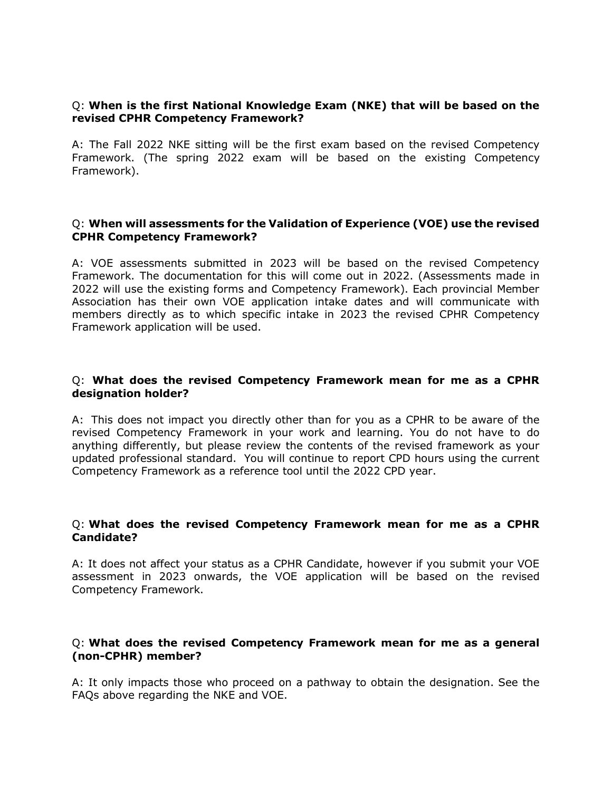### Q: **When is the first National Knowledge Exam (NKE) that will be based on the revised CPHR Competency Framework?**

A: The Fall 2022 NKE sitting will be the first exam based on the revised Competency Framework. (The spring 2022 exam will be based on the existing Competency Framework).

### Q: **When will assessments for the Validation of Experience (VOE) use the revised CPHR Competency Framework?**

A: VOE assessments submitted in 2023 will be based on the revised Competency Framework. The documentation for this will come out in 2022. (Assessments made in 2022 will use the existing forms and Competency Framework). Each provincial Member Association has their own VOE application intake dates and will communicate with members directly as to which specific intake in 2023 the revised CPHR Competency Framework application will be used.

### Q: **What does the revised Competency Framework mean for me as a CPHR designation holder?**

A: This does not impact you directly other than for you as a CPHR to be aware of the revised Competency Framework in your work and learning. You do not have to do anything differently, but please review the contents of the revised framework as your updated professional standard. You will continue to report CPD hours using the current Competency Framework as a reference tool until the 2022 CPD year.

### Q: **What does the revised Competency Framework mean for me as a CPHR Candidate?**

A: It does not affect your status as a CPHR Candidate, however if you submit your VOE assessment in 2023 onwards, the VOE application will be based on the revised Competency Framework.

## Q: **What does the revised Competency Framework mean for me as a general (non-CPHR) member?**

A: It only impacts those who proceed on a pathway to obtain the designation. See the FAQs above regarding the NKE and VOE.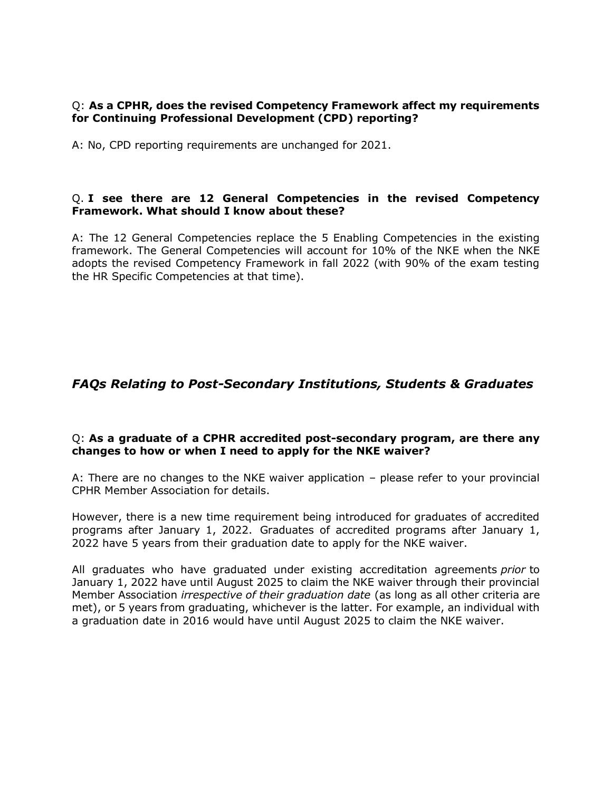## Q: **As a CPHR, does the revised Competency Framework affect my requirements for Continuing Professional Development (CPD) reporting?**

A: No, CPD reporting requirements are unchanged for 2021.

## Q. **I see there are 12 General Competencies in the revised Competency Framework. What should I know about these?**

A: The 12 General Competencies replace the 5 Enabling Competencies in the existing framework. The General Competencies will account for 10% of the NKE when the NKE adopts the revised Competency Framework in fall 2022 (with 90% of the exam testing the HR Specific Competencies at that time).

# *FAQs Relating to Post-Secondary Institutions, Students & Graduates*

## Q: **As a graduate of a CPHR accredited post-secondary program, are there any changes to how or when I need to apply for the NKE waiver?**

A: There are no changes to the NKE waiver application – please refer to your provincial CPHR Member Association for details.

However, there is a new time requirement being introduced for graduates of accredited programs after January 1, 2022. Graduates of accredited programs after January 1, 2022 have 5 years from their graduation date to apply for the NKE waiver.

All graduates who have graduated under existing accreditation agreements *prior* to January 1, 2022 have until August 2025 to claim the NKE waiver through their provincial Member Association *irrespective of their graduation date* (as long as all other criteria are met), or 5 years from graduating, whichever is the latter. For example, an individual with a graduation date in 2016 would have until August 2025 to claim the NKE waiver.